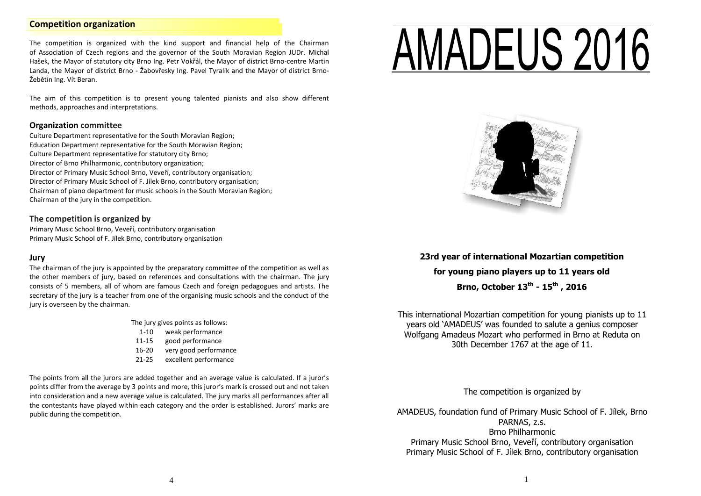## **Competition organization**

The competition is organized with the kind support and financial help of the Chairman of Association of Czech regions and the governor of the South Moravian Region JUDr. Michal Hašek, the Mayor of statutory city Brno Ing. Petr Vokřál, the Mayor of district Brno-centre Martin Landa, the Mayor of district Brno - Žabovřesky Ing. Pavel Tyralík and the Mayor of district Brno-Žebětín Ing. Vít Beran.

The aim of this competition is to present young talented pianists and also show different methods, approaches and interpretations.

#### **Organization committee**

Culture Department representative for the South Moravian Region; Education Department representative for the South Moravian Region; Culture Department representative for statutory city Brno; Director of Brno Philharmonic, contributory organization; Director of Primary Music School Brno, Veveří, contributory organisation; Director of Primary Music School of F. Jílek Brno, contributory organisation; Chairman of piano department for music schools in the South Moravian Region; Chairman of the jury in the competition.

#### **The competition is organized by**

Primary Music School Brno, Veveří, contributory organisation Primary Music School of F. Jílek Brno, contributory organisation

## **Jury**

The chairman of the jury is appointed by the preparatory committee of the competition as well as the other members of jury, based on references and consultations with the chairman. The jury consists of 5 members, all of whom are famous Czech and foreign pedagogues and artists. The secretary of the jury is a teacher from one of the organising music schools and the conduct of the jury is overseen by the chairman.

The jury gives points as follows:

- 1-10 weak performance
- 11-15 good performance
- 16-20 very good performance
- 21-25 excellent performance

The points from all the jurors are added together and an average value is calculated. If a juror's points differ from the average by 3 points and more, this juror's mark is crossed out and not taken into consideration and a new average value is calculated. The jury marks all performances after all the contestants have played within each category and the order is established. Jurors' marks are public during the competition.

# AMADEUS 2016 ī



**23rd year of international Mozartian competition for young piano players up to 11 years old Brno, October 13th - 15th , 2016**

This international Mozartian competition for young pianists up to 11 years old 'AMADEUS' was founded to salute a genius composer Wolfgang Amadeus Mozart who performed in Brno at Reduta on 30th December 1767 at the age of 11.

The competition is organized by

AMADEUS, foundation fund of Primary Music School of F. Jílek, Brno PARNAS, z.s. Brno Philharmonic Primary Music School Brno, Veveří, contributory organisation Primary Music School of F. Jílek Brno, contributory organisation